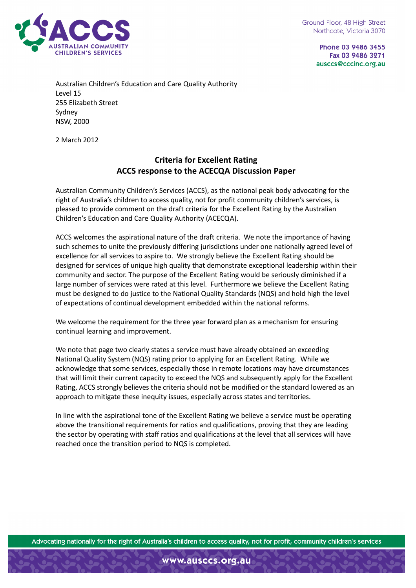

Phone 03 9486 3455 Fax 03 9486 3271 ausccs@cccinc.org.au

Australian Children's Education and Care Quality Authority Level 15 255 Elizabeth Street Sydney NSW, 2000

2 March 2012

## Criteria for Excellent Rating ACCS response to the ACECQA Discussion Paper

Australian Community Children's Services (ACCS), as the national peak body advocating for the right of Australia's children to access quality, not for profit community children's services, is pleased to provide comment on the draft criteria for the Excellent Rating by the Australian Children's Education and Care Quality Authority (ACECQA).

ACCS welcomes the aspirational nature of the draft criteria. We note the importance of having such schemes to unite the previously differing jurisdictions under one nationally agreed level of excellence for all services to aspire to. We strongly believe the Excellent Rating should be designed for services of unique high quality that demonstrate exceptional leadership within their community and sector. The purpose of the Excellent Rating would be seriously diminished if a large number of services were rated at this level. Furthermore we believe the Excellent Rating must be designed to do justice to the National Quality Standards (NQS) and hold high the level of expectations of continual development embedded within the national reforms.

We welcome the requirement for the three year forward plan as a mechanism for ensuring continual learning and improvement.

We note that page two clearly states a service must have already obtained an exceeding National Quality System (NQS) rating prior to applying for an Excellent Rating. While we acknowledge that some services, especially those in remote locations may have circumstances that will limit their current capacity to exceed the NQS and subsequently apply for the Excellent Rating, ACCS strongly believes the criteria should not be modified or the standard lowered as an approach to mitigate these inequity issues, especially across states and territories.

In line with the aspirational tone of the Excellent Rating we believe a service must be operating above the transitional requirements for ratios and qualifications, proving that they are leading the sector by operating with staff ratios and qualifications at the level that all services will have reached once the transition period to NQS is completed.

Advocating nationally for the right of Australia's children to access quality, not for profit, community children's services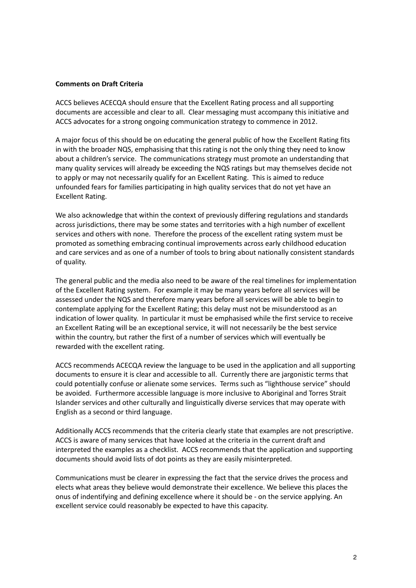## Comments on Draft Criteria

ACCS believes ACECQA should ensure that the Excellent Rating process and all supporting documents are accessible and clear to all. Clear messaging must accompany this initiative and ACCS advocates for a strong ongoing communication strategy to commence in 2012.

A major focus of this should be on educating the general public of how the Excellent Rating fits in with the broader NQS, emphasising that this rating is not the only thing they need to know about a children's service. The communications strategy must promote an understanding that many quality services will already be exceeding the NQS ratings but may themselves decide not to apply or may not necessarily qualify for an Excellent Rating. This is aimed to reduce unfounded fears for families participating in high quality services that do not yet have an Excellent Rating.

We also acknowledge that within the context of previously differing regulations and standards across jurisdictions, there may be some states and territories with a high number of excellent services and others with none. Therefore the process of the excellent rating system must be promoted as something embracing continual improvements across early childhood education and care services and as one of a number of tools to bring about nationally consistent standards of quality.

The general public and the media also need to be aware of the real timelines for implementation of the Excellent Rating system. For example it may be many years before all services will be assessed under the NQS and therefore many years before all services will be able to begin to contemplate applying for the Excellent Rating; this delay must not be misunderstood as an indication of lower quality. In particular it must be emphasised while the first service to receive an Excellent Rating will be an exceptional service, it will not necessarily be the best service within the country, but rather the first of a number of services which will eventually be rewarded with the excellent rating.

ACCS recommends ACECQA review the language to be used in the application and all supporting documents to ensure it is clear and accessible to all. Currently there are jargonistic terms that could potentially confuse or alienate some services. Terms such as "lighthouse service" should be avoided. Furthermore accessible language is more inclusive to Aboriginal and Torres Strait Islander services and other culturally and linguistically diverse services that may operate with English as a second or third language.

Additionally ACCS recommends that the criteria clearly state that examples are not prescriptive. ACCS is aware of many services that have looked at the criteria in the current draft and interpreted the examples as a checklist. ACCS recommends that the application and supporting documents should avoid lists of dot points as they are easily misinterpreted.

Communications must be clearer in expressing the fact that the service drives the process and elects what areas they believe would demonstrate their excellence. We believe this places the onus of indentifying and defining excellence where it should be - on the service applying. An excellent service could reasonably be expected to have this capacity.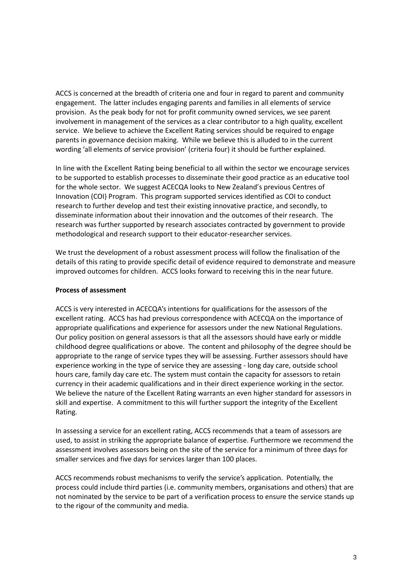ACCS is concerned at the breadth of criteria one and four in regard to parent and community engagement. The latter includes engaging parents and families in all elements of service provision. As the peak body for not for profit community owned services, we see parent involvement in management of the services as a clear contributor to a high quality, excellent service. We believe to achieve the Excellent Rating services should be required to engage parents in governance decision making. While we believe this is alluded to in the current wording 'all elements of service provision' (criteria four) it should be further explained.

In line with the Excellent Rating being beneficial to all within the sector we encourage services to be supported to establish processes to disseminate their good practice as an educative tool for the whole sector. We suggest ACECQA looks to New Zealand's previous Centres of Innovation (COI) Program. This program supported services identified as COI to conduct research to further develop and test their existing innovative practice, and secondly, to disseminate information about their innovation and the outcomes of their research. The research was further supported by research associates contracted by government to provide methodological and research support to their educator-researcher services.

We trust the development of a robust assessment process will follow the finalisation of the details of this rating to provide specific detail of evidence required to demonstrate and measure improved outcomes for children. ACCS looks forward to receiving this in the near future.

## Process of assessment

ACCS is very interested in ACECQA's intentions for qualifications for the assessors of the excellent rating. ACCS has had previous correspondence with ACECQA on the importance of appropriate qualifications and experience for assessors under the new National Regulations. Our policy position on general assessors is that all the assessors should have early or middle childhood degree qualifications or above. The content and philosophy of the degree should be appropriate to the range of service types they will be assessing. Further assessors should have experience working in the type of service they are assessing - long day care, outside school hours care, family day care etc. The system must contain the capacity for assessors to retain currency in their academic qualifications and in their direct experience working in the sector. We believe the nature of the Excellent Rating warrants an even higher standard for assessors in skill and expertise. A commitment to this will further support the integrity of the Excellent Rating.

In assessing a service for an excellent rating, ACCS recommends that a team of assessors are used, to assist in striking the appropriate balance of expertise. Furthermore we recommend the assessment involves assessors being on the site of the service for a minimum of three days for smaller services and five days for services larger than 100 places.

ACCS recommends robust mechanisms to verify the service's application. Potentially, the process could include third parties (i.e. community members, organisations and others) that are not nominated by the service to be part of a verification process to ensure the service stands up to the rigour of the community and media.